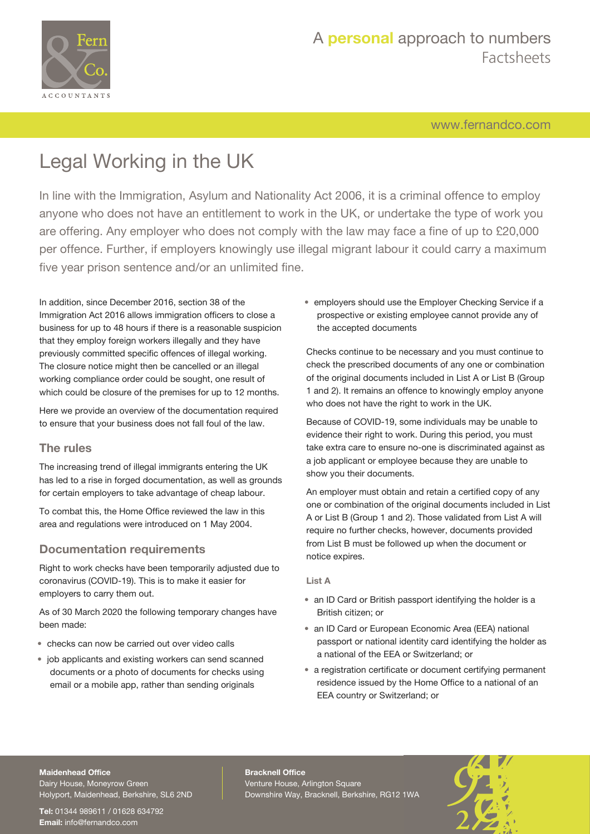

[www.fernandco.com](http://www.fernandco.com)

# Legal Working in the UK

In line with the Immigration, Asylum and Nationality Act 2006, it is a criminal offence to employ anyone who does not have an entitlement to work in the UK, or undertake the type of work you are offering. Any employer who does not comply with the law may face a fine of up to £20,000 per offence. Further, if employers knowingly use illegal migrant labour it could carry a maximum five year prison sentence and/or an unlimited fine.

In addition, since December 2016, section 38 of the Immigration Act 2016 allows immigration officers to close a business for up to 48 hours if there is a reasonable suspicion that they employ foreign workers illegally and they have previously committed specific offences of illegal working. The closure notice might then be cancelled or an illegal working compliance order could be sought, one result of which could be closure of the premises for up to 12 months.

Here we provide an overview of the documentation required to ensure that your business does not fall foul of the law.

### **The rules**

The increasing trend of illegal immigrants entering the UK has led to a rise in forged documentation, as well as grounds for certain employers to take advantage of cheap labour.

To combat this, the Home Office reviewed the law in this area and regulations were introduced on 1 May 2004.

### **Documentation requirements**

Right to work checks have been temporarily adjusted due to coronavirus (COVID-19). This is to make it easier for employers to carry them out.

As of 30 March 2020 the following temporary changes have been made:

- checks can now be carried out over video calls
- job applicants and existing workers can send scanned documents or a photo of documents for checks using email or a mobile app, rather than sending originals

• employers should use the Employer Checking Service if a prospective or existing employee cannot provide any of the accepted documents

Checks continue to be necessary and you must continue to check the prescribed documents of any one or combination of the original documents included in List A or List B (Group 1 and 2). It remains an offence to knowingly employ anyone who does not have the right to work in the UK.

Because of COVID-19, some individuals may be unable to evidence their right to work. During this period, you must take extra care to ensure no-one is discriminated against as a job applicant or employee because they are unable to show you their documents.

An employer must obtain and retain a certified copy of any one or combination of the original documents included in List A or List B (Group 1 and 2). Those validated from List A will require no further checks, however, documents provided from List B must be followed up when the document or notice expires.

#### **List A**

- an ID Card or British passport identifying the holder is a British citizen; or
- an ID Card or European Economic Area (EEA) national passport or national identity card identifying the holder as a national of the EEA or Switzerland; or
- a registration certificate or document certifying permanent residence issued by the Home Office to a national of an EEA country or Switzerland; or

### **Maidenhead Office**

Dairy House, Moneyrow Green Holyport, Maidenhead, Berkshire, SL6 2ND

**Tel:** 01344 989611 / 01628 634792 **Email:** [info@fernandco.com](mailto:info@fernandco.com)

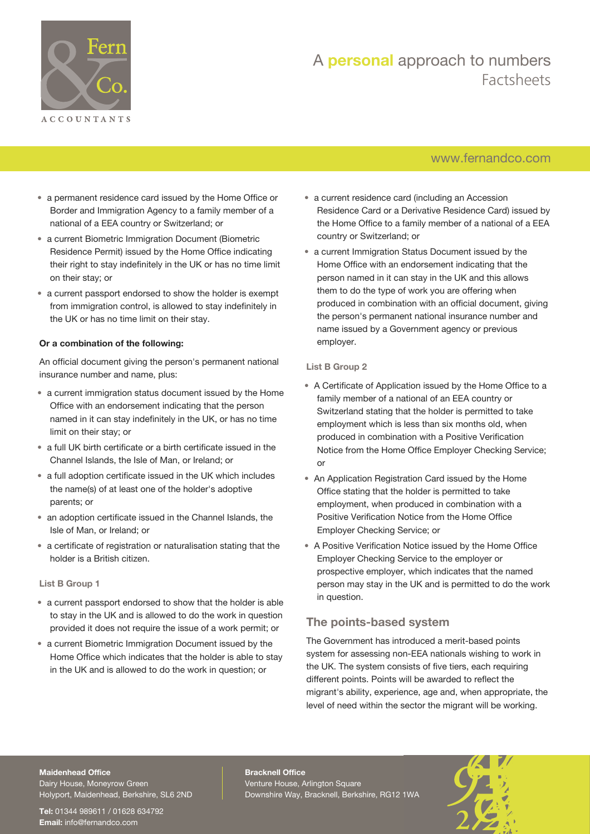

## [www.fernandco.com](http://www.fernandco.com)

- a permanent residence card issued by the Home Office or Border and Immigration Agency to a family member of a national of a EEA country or Switzerland; or
- a current Biometric Immigration Document (Biometric Residence Permit) issued by the Home Office indicating their right to stay indefinitely in the UK or has no time limit on their stay; or
- a current passport endorsed to show the holder is exempt from immigration control, is allowed to stay indefinitely in the UK or has no time limit on their stay.

#### **Or a combination of the following:**

An official document giving the person's permanent national insurance number and name, plus:

- a current immigration status document issued by the Home Office with an endorsement indicating that the person named in it can stay indefinitely in the UK, or has no time limit on their stay; or
- a full UK birth certificate or a birth certificate issued in the Channel Islands, the Isle of Man, or Ireland; or
- a full adoption certificate issued in the UK which includes the name(s) of at least one of the holder's adoptive parents; or
- an adoption certificate issued in the Channel Islands, the Isle of Man, or Ireland; or
- a certificate of registration or naturalisation stating that the holder is a British citizen.

#### **List B Group 1**

- a current passport endorsed to show that the holder is able to stay in the UK and is allowed to do the work in question provided it does not require the issue of a work permit; or
- a current Biometric Immigration Document issued by the Home Office which indicates that the holder is able to stay in the UK and is allowed to do the work in question; or
- a current residence card (including an Accession Residence Card or a Derivative Residence Card) issued by the Home Office to a family member of a national of a EEA country or Switzerland; or
- a current Immigration Status Document issued by the Home Office with an endorsement indicating that the person named in it can stay in the UK and this allows them to do the type of work you are offering when produced in combination with an official document, giving the person's permanent national insurance number and name issued by a Government agency or previous employer.

#### **List B Group 2**

- A Certificate of Application issued by the Home Office to a family member of a national of an EEA country or Switzerland stating that the holder is permitted to take employment which is less than six months old, when produced in combination with a Positive Verification Notice from the Home Office Employer Checking Service; or
- An Application Registration Card issued by the Home Office stating that the holder is permitted to take employment, when produced in combination with a Positive Verification Notice from the Home Office Employer Checking Service; or
- A Positive Verification Notice issued by the Home Office Employer Checking Service to the employer or prospective employer, which indicates that the named person may stay in the UK and is permitted to do the work in question.

### **The points-based system**

The Government has introduced a merit-based points system for assessing non-EEA nationals wishing to work in the UK. The system consists of five tiers, each requiring different points. Points will be awarded to reflect the migrant's ability, experience, age and, when appropriate, the level of need within the sector the migrant will be working.

#### **Maidenhead Office**

Dairy House, Moneyrow Green Holyport, Maidenhead, Berkshire, SL6 2ND

**Tel:** 01344 989611 / 01628 634792 **Email:** [info@fernandco.com](mailto:info@fernandco.com)

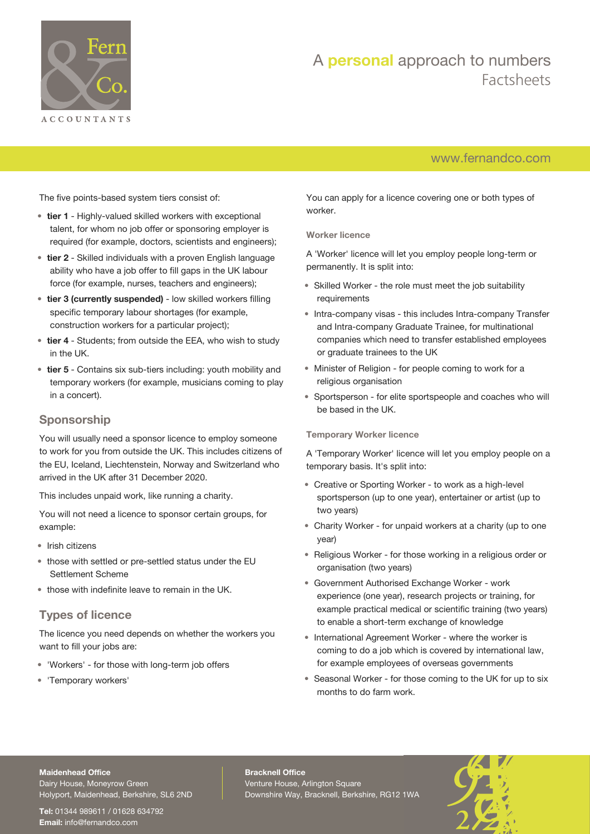

## [www.fernandco.com](http://www.fernandco.com)

The five points-based system tiers consist of:

- **tier 1** Highly-valued skilled workers with exceptional talent, for whom no job offer or sponsoring employer is required (for example, doctors, scientists and engineers);
- **tier 2** Skilled individuals with a proven English language ability who have a job offer to fill gaps in the UK labour force (for example, nurses, teachers and engineers);
- **tier 3 (currently suspended)** low skilled workers filling specific temporary labour shortages (for example, construction workers for a particular project);
- **tier 4** Students; from outside the EEA, who wish to study in the UK.
- **tier 5** Contains six sub-tiers including: youth mobility and temporary workers (for example, musicians coming to play in a concert).

### **Sponsorship**

You will usually need a sponsor licence to employ someone to work for you from outside the UK. This includes citizens of the EU, Iceland, Liechtenstein, Norway and Switzerland who arrived in the UK after 31 December 2020.

This includes unpaid work, like running a charity.

You will not need a licence to sponsor certain groups, for example:

- Irish citizens
- those with settled or pre-settled status under the EU Settlement Scheme
- those with indefinite leave to remain in the UK.

### **Types of licence**

The licence you need depends on whether the workers you want to fill your jobs are:

- 'Workers' for those with long-term job offers
- 'Temporary workers'

You can apply for a licence covering one or both types of worker.

#### **Worker licence**

A 'Worker' licence will let you employ people long-term or permanently. It is split into:

- Skilled Worker the role must meet the job suitability requirements
- Intra-company visas this includes Intra-company Transfer and Intra-company Graduate Trainee, for multinational companies which need to transfer established employees or graduate trainees to the UK
- Minister of Religion for people coming to work for a religious organisation
- Sportsperson for elite sportspeople and coaches who will be based in the UK.

#### **Temporary Worker licence**

A 'Temporary Worker' licence will let you employ people on a temporary basis. It's split into:

- Creative or Sporting Worker to work as a high-level sportsperson (up to one year), entertainer or artist (up to two years)
- Charity Worker for unpaid workers at a charity (up to one year)
- Religious Worker for those working in a religious order or organisation (two years)
- Government Authorised Exchange Worker work experience (one year), research projects or training, for example practical medical or scientific training (two years) to enable a short-term exchange of knowledge
- International Agreement Worker where the worker is coming to do a job which is covered by international law, for example employees of overseas governments
- Seasonal Worker for those coming to the UK for up to six months to do farm work.

#### **Maidenhead Office**

Dairy House, Moneyrow Green Holyport, Maidenhead, Berkshire, SL6 2ND

**Tel:** 01344 989611 / 01628 634792 **Email:** [info@fernandco.com](mailto:info@fernandco.com)

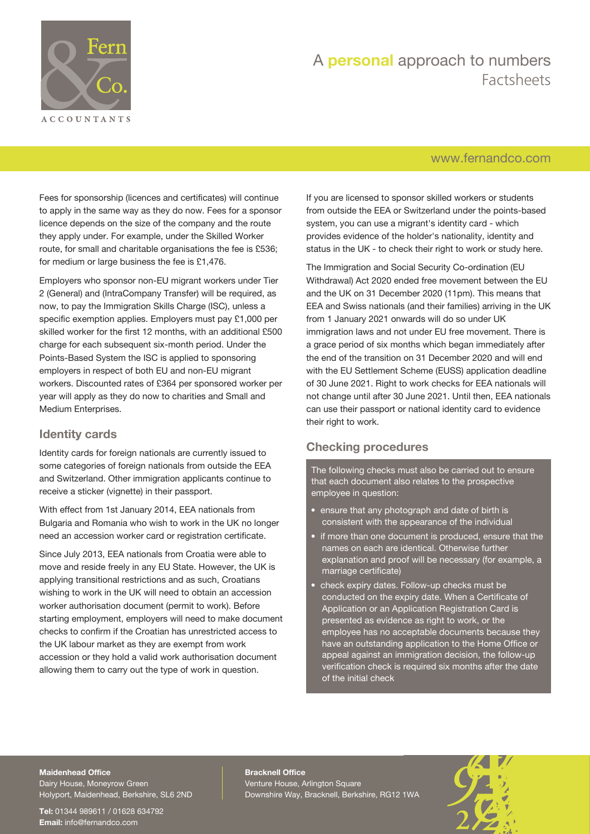

## [www.fernandco.com](http://www.fernandco.com)

Fees for sponsorship (licences and certificates) will continue to apply in the same way as they do now. Fees for a sponsor licence depends on the size of the company and the route they apply under. For example, under the Skilled Worker route, for small and charitable organisations the fee is £536; for medium or large business the fee is £1,476.

Employers who sponsor non-EU migrant workers under Tier 2 (General) and (IntraCompany Transfer) will be required, as now, to pay the Immigration Skills Charge (ISC), unless a specific exemption applies. Employers must pay £1,000 per skilled worker for the first 12 months, with an additional £500 charge for each subsequent six-month period. Under the Points-Based System the ISC is applied to sponsoring employers in respect of both EU and non-EU migrant workers. Discounted rates of £364 per sponsored worker per year will apply as they do now to charities and Small and Medium Enterprises.

### **Identity cards**

Identity cards for foreign nationals are currently issued to some categories of foreign nationals from outside the EEA and Switzerland. Other immigration applicants continue to receive a sticker (vignette) in their passport.

With effect from 1st January 2014, EEA nationals from Bulgaria and Romania who wish to work in the UK no longer need an accession worker card or registration certificate.

Since July 2013, EEA nationals from Croatia were able to move and reside freely in any EU State. However, the UK is applying transitional restrictions and as such, Croatians wishing to work in the UK will need to obtain an accession worker authorisation document (permit to work). Before starting employment, employers will need to make document checks to confirm if the Croatian has unrestricted access to the UK labour market as they are exempt from work accession or they hold a valid work authorisation document allowing them to carry out the type of work in question.

If you are licensed to sponsor skilled workers or students from outside the EEA or Switzerland under the points-based system, you can use a migrant's identity card - which provides evidence of the holder's nationality, identity and status in the UK - to check their right to work or study here.

The Immigration and Social Security Co-ordination (EU Withdrawal) Act 2020 ended free movement between the EU and the UK on 31 December 2020 (11pm). This means that EEA and Swiss nationals (and their families) arriving in the UK from 1 January 2021 onwards will do so under UK immigration laws and not under EU free movement. There is a grace period of six months which began immediately after the end of the transition on 31 December 2020 and will end with the EU Settlement Scheme (EUSS) application deadline of 30 June 2021. Right to work checks for EEA nationals will not change until after 30 June 2021. Until then, EEA nationals can use their passport or national identity card to evidence their right to work.

## **Checking procedures**

The following checks must also be carried out to ensure that each document also relates to the prospective employee in question:

- ensure that any photograph and date of birth is consistent with the appearance of the individual
- if more than one document is produced, ensure that the names on each are identical. Otherwise further explanation and proof will be necessary (for example, a marriage certificate)
- check expiry dates. Follow-up checks must be conducted on the expiry date. When a Certificate of Application or an Application Registration Card is presented as evidence as right to work, or the employee has no acceptable documents because they have an outstanding application to the Home Office or appeal against an immigration decision, the follow-up verification check is required six months after the date of the initial check

#### **Maidenhead Office**

Dairy House, Moneyrow Green Holyport, Maidenhead, Berkshire, SL6 2ND

**Tel:** 01344 989611 / 01628 634792 **Email:** [info@fernandco.com](mailto:info@fernandco.com)